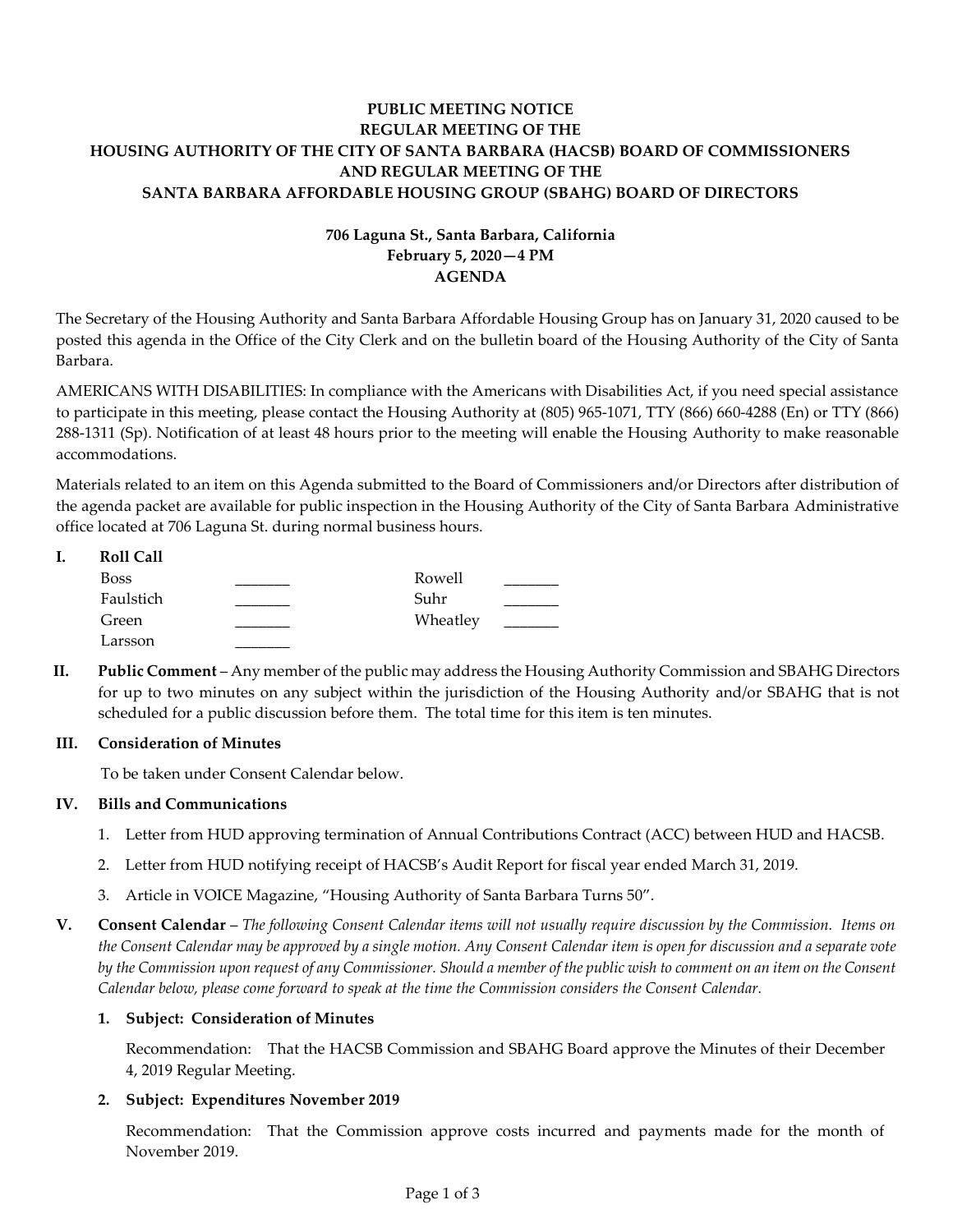# **PUBLIC MEETING NOTICE REGULAR MEETING OF THE HOUSING AUTHORITY OF THE CITY OF SANTA BARBARA (HACSB) BOARD OF COMMISSIONERS AND REGULAR MEETING OF THE SANTA BARBARA AFFORDABLE HOUSING GROUP (SBAHG) BOARD OF DIRECTORS**

# **706 Laguna St., Santa Barbara, California February 5, 2020—4 PM AGENDA**

The Secretary of the Housing Authority and Santa Barbara Affordable Housing Group has on January 31, 2020 caused to be posted this agenda in the Office of the City Clerk and on the bulletin board of the Housing Authority of the City of Santa Barbara.

AMERICANS WITH DISABILITIES: In compliance with the Americans with Disabilities Act, if you need special assistance to participate in this meeting, please contact the Housing Authority at (805) 965-1071, TTY (866) 660-4288 (En) or TTY (866) 288-1311 (Sp). Notification of at least 48 hours prior to the meeting will enable the Housing Authority to make reasonable accommodations.

Materials related to an item on this Agenda submitted to the Board of Commissioners and/or Directors after distribution of the agenda packet are available for public inspection in the Housing Authority of the City of Santa Barbara Administrative office located at 706 Laguna St. during normal business hours.

| <b>Roll Call</b> |          |  |
|------------------|----------|--|
| <b>Boss</b>      | Rowell   |  |
| Faulstich        | Suhr     |  |
| Green            | Wheatley |  |
| Larsson          |          |  |

**II. Public Comment** – Any member of the public may address the Housing Authority Commission and SBAHG Directors for up to two minutes on any subject within the jurisdiction of the Housing Authority and/or SBAHG that is not scheduled for a public discussion before them. The total time for this item is ten minutes.

# **III. Consideration of Minutes**

To be taken under Consent Calendar below.

# **IV. Bills and Communications**

- [1. Letter from HUD approving termination of Annual Contributions Contract \(ACC\) between HUD and HACSB.](https://hacsb.org/download/meetings_2020/items/02_february/Item-IV.1.pdf)
- [2. Letter from HUD notifying receipt of HACSB's Audit Report for fiscal year e](https://hacsb.org/download/meetings_2020/items/02_february/Item-IV.2.pdf)nded March 31, 2019.
- 3. Article in VOICE Magazine, ["Housing Authority of Santa Barbara Turns 50".](https://hacsb.org/download/meetings_2020/items/02_february/Item-IV.3.pdf)
- **V. Consent Calendar** *The following Consent Calendar items will not usually require discussion by the Commission. Items on the Consent Calendar may be approved by a single motion. Any Consent Calendar item is open for discussion and a separate vote by the Commission upon request of any Commissioner. Should a member of the public wish to comment on an item on the Consent Calendar below, please come forward to speak at the time the Commission considers the Consent Calendar.*

# **1. Subject: Consideration of Minutes**

Recommendation: That the HACSB Commission [and SBAHG Board approve the Minutes of their December](https://hacsb.org/download/meetings_2020/items/02_february/Item-V.1.pdf)  4, 2019 Regular Meeting.

# **2. Subject: Expenditures November 2019**

[Recommendation: That the Commission approve costs incurred and payments made for the month of](https://hacsb.org/download/meetings_2020/items/02_february/Item-V.2.pdf)  November 2019.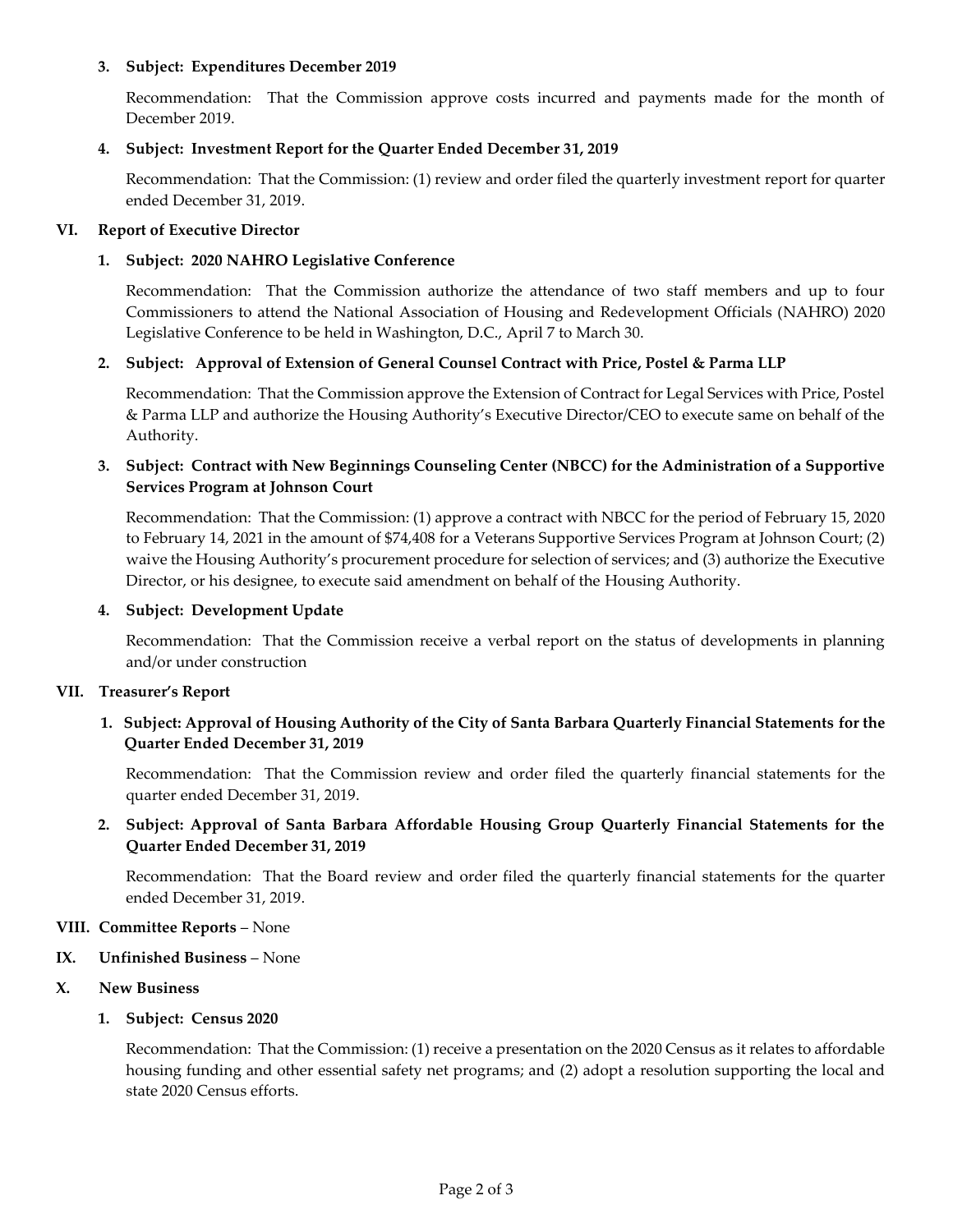### **3. Subject: Expenditures December 2019**

[Recommendation: That the Commission approve costs incurred and payments made for the month of](https://hacsb.org/download/meetings_2020/items/02_february/Item-V.3.pdf)  December 2019.

### **4. Subject: Investment Report for the Quarter Ended December 31, 2019**

[Recommendation: That the Commission: \(1\) review and order filed the quarterly investment report for](https://hacsb.org/download/meetings_2020/items/02_february/Item-V.4.pdf) quarter ended December 31, 2019.

### **VI. Report of Executive Director**

## **1. Subject: 2020 NAHRO Legislative Conference**

[Recommendation: That the Commission authorize the attendance of two staff members and up to four](https://hacsb.org/download/meetings_2020/items/02_february/Item-VI.1.pdf)  Commissioners to attend the National Association of Housing and Redevelopment Officials (NAHRO) 2020 Legislative Conference to be held in Washington, D.C., April 7 to March 30.

### **2. Subject: Approval of Extension of General Counsel Contract with Price, Postel & Parma LLP**

[Recommendation: That the Commission approve the Extension of Contract for Legal Services with Price, Postel](https://hacsb.org/download/meetings_2020/items/02_february/Item-VI.2.pdf)  & Parma LLP and authorize the Housing Authority's Executive Director/CEO to execute same on behalf of the Authority.

# **[3. Subject: Contract with New Beginnings Counseling Center \(NBCC\) for the Administration of a Supportive](https://hacsb.org/download/meetings_2020/items/02_february/Item-VI.3.pdf)  Services Program at Johnson Court**

Recommendation: That the Commission: (1) approve a contract with NBCC for the period of February 15, 2020 to February 14, 2021 in the amount of \$74,408 for a Veterans Supportive Services Program at Johnson Court; (2) waive the Housing Authority's procurement procedure for selection of services; and (3) authorize the Executive Director, or his designee, to execute said amendment on behalf of the Housing Authority.

#### **4. Subject: Development Update**

Recommendation: That the Commission receive a verbal report on the status of developments in planning and/or under construction

#### **VII. Treasurer's Report**

# **1. Subject: Approval of Housing Authority of the City of Santa Barbara Quarterly Financial Statements for the Quarter Ended December 31, 2019**

[Recommendation: That the Commission review and order filed the quarterly financial statements for the](https://hacsb.org/download/meetings_2020/items/02_february/Item-VII.1.pdf)  quarter ended December 31, 2019.

# **2. [Subject: Approval of Santa Barbara Affordable Housing Group Quarterly Financial Statements for the](https://hacsb.org/download/meetings_2020/items/02_february/Item-VII.2.pdf)  Quarter Ended December 31, 2019**

Recommendation: That the Board review and order filed the quarterly financial statements for the quarter ended December 31, 2019.

#### **VIII. Committee Reports** – None

#### **IX. Unfinished Business** – None

#### **X. New Business**

**1. Subject: Census 2020**

[Recommendation: That the Commission: \(1\) receive a presentation on the 2020 Census as it relates to affordable](https://hacsb.org/download/meetings_2020/items/02_february/Item-X.1.pdf)  housing funding and other essential safety net programs; and (2) adopt a resolution supporting the local and state 2020 Census efforts.